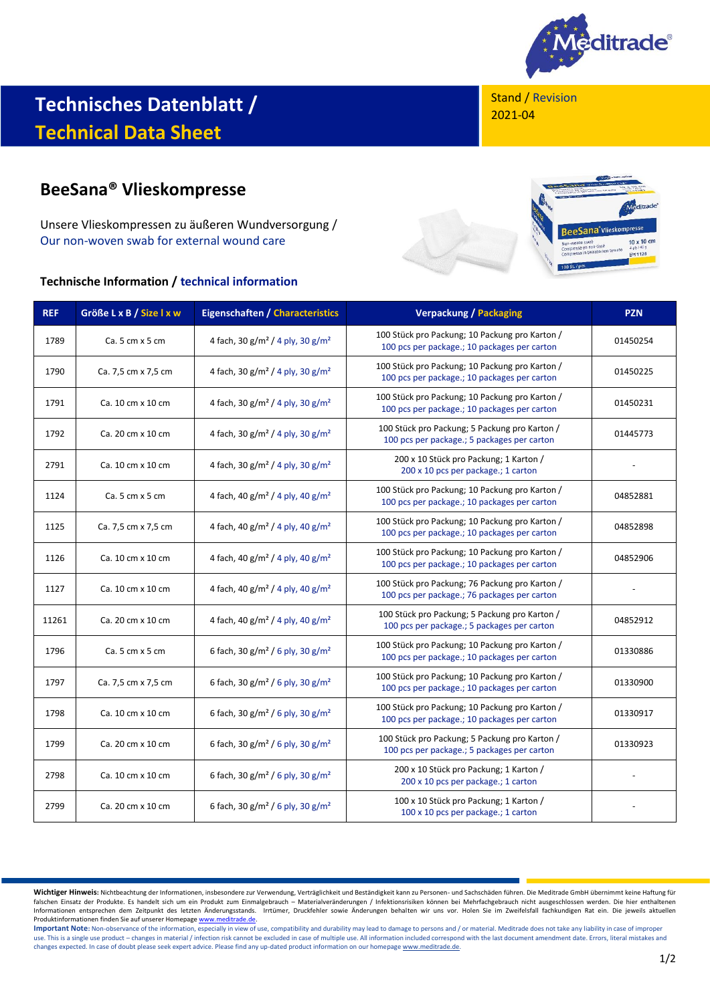

## **Technisches Datenblatt / Technical Data Sheet**

## **BeeSana® Vlieskompresse**

Unsere Vlieskompressen zu äußeren Wundversorgung / Our non-woven swab for external wound care

## **Technische Information / technical information**

Stand / Revision 2021-04



| <b>REF</b> | Größe L x B / Size I x w | <b>Eigenschaften / Characteristics</b>                   | <b>Verpackung / Packaging</b>                                                                  | <b>PZN</b> |
|------------|--------------------------|----------------------------------------------------------|------------------------------------------------------------------------------------------------|------------|
| 1789       | $Ca.5 cm \times 5 cm$    | 4 fach, 30 g/m <sup>2</sup> / 4 ply, 30 g/m <sup>2</sup> | 100 Stück pro Packung; 10 Packung pro Karton /<br>100 pcs per package.; 10 packages per carton | 01450254   |
| 1790       | Ca. 7,5 cm x 7,5 cm      | 4 fach, $30 g/m^2 / 4$ ply, $30 g/m^2$                   | 100 Stück pro Packung; 10 Packung pro Karton /<br>100 pcs per package.; 10 packages per carton | 01450225   |
| 1791       | Ca. 10 cm x 10 cm        | 4 fach, $30 g/m^2 / 4$ ply, $30 g/m^2$                   | 100 Stück pro Packung; 10 Packung pro Karton /<br>100 pcs per package.; 10 packages per carton | 01450231   |
| 1792       | Ca. 20 cm x 10 cm        | 4 fach, $30 g/m^2 / 4$ ply, $30 g/m^2$                   | 100 Stück pro Packung; 5 Packung pro Karton /<br>100 pcs per package.; 5 packages per carton   | 01445773   |
| 2791       | Ca. 10 cm x 10 cm        | 4 fach, $30 g/m^2 / 4$ ply, $30 g/m^2$                   | 200 x 10 Stück pro Packung; 1 Karton /<br>200 x 10 pcs per package.; 1 carton                  |            |
| 1124       | Ca.5 cm x 5 cm           | 4 fach, 40 $g/m^2$ / 4 ply, 40 $g/m^2$                   | 100 Stück pro Packung; 10 Packung pro Karton /<br>100 pcs per package.; 10 packages per carton | 04852881   |
| 1125       | Ca. 7,5 cm x 7,5 cm      | 4 fach, 40 g/m <sup>2</sup> / 4 ply, 40 g/m <sup>2</sup> | 100 Stück pro Packung; 10 Packung pro Karton /<br>100 pcs per package.; 10 packages per carton | 04852898   |
| 1126       | Ca. 10 cm x 10 cm        | 4 fach, 40 g/m <sup>2</sup> / 4 ply, 40 g/m <sup>2</sup> | 100 Stück pro Packung; 10 Packung pro Karton /<br>100 pcs per package.; 10 packages per carton | 04852906   |
| 1127       | Ca. 10 cm x 10 cm        | 4 fach, 40 g/m <sup>2</sup> / 4 ply, 40 g/m <sup>2</sup> | 100 Stück pro Packung; 76 Packung pro Karton /<br>100 pcs per package.; 76 packages per carton |            |
| 11261      | Ca. 20 cm x 10 cm        | 4 fach, 40 $g/m^2$ / 4 ply, 40 $g/m^2$                   | 100 Stück pro Packung; 5 Packung pro Karton /<br>100 pcs per package.; 5 packages per carton   | 04852912   |
| 1796       | Ca. 5 cm x 5 cm          | 6 fach, $30 g/m^2 / 6$ ply, $30 g/m^2$                   | 100 Stück pro Packung; 10 Packung pro Karton /<br>100 pcs per package.; 10 packages per carton | 01330886   |
| 1797       | Ca. 7,5 cm x 7,5 cm      | 6 fach, $30 g/m^2 / 6$ ply, $30 g/m^2$                   | 100 Stück pro Packung; 10 Packung pro Karton /<br>100 pcs per package.; 10 packages per carton | 01330900   |
| 1798       | Ca. 10 cm x 10 cm        | 6 fach, 30 g/m <sup>2</sup> / 6 ply, 30 g/m <sup>2</sup> | 100 Stück pro Packung; 10 Packung pro Karton /<br>100 pcs per package.; 10 packages per carton | 01330917   |
| 1799       | Ca. 20 cm x 10 cm        | 6 fach, $30 g/m^2 / 6$ ply, $30 g/m^2$                   | 100 Stück pro Packung; 5 Packung pro Karton /<br>100 pcs per package.; 5 packages per carton   | 01330923   |
| 2798       | Ca. 10 cm x 10 cm        | 6 fach, $30 g/m^2 / 6$ ply, $30 g/m^2$                   | 200 x 10 Stück pro Packung; 1 Karton /<br>200 x 10 pcs per package.; 1 carton                  |            |
| 2799       | Ca. 20 cm x 10 cm        | 6 fach, $30 g/m^2 / 6$ ply, $30 g/m^2$                   | 100 x 10 Stück pro Packung; 1 Karton /<br>100 x 10 pcs per package.; 1 carton                  |            |

**Wichtiger Hinweis:** Nichtbeachtung der Informationen, insbesondere zur Verwendung, Verträglichkeit und Beständigkeit kann zu Personen- und Sachschäden führen. Die Meditrade GmbH übernimmt keine Haftung für falschen Einsatz der Produkte. Es handelt sich um ein Produkt zum Einmalgebrauch – Materialveränderungen / Infektionsrisiken können bei Mehrfachgebrauch nicht ausgeschlossen werden. Die hier enthaltenen<br>Informationen entsp Produktinformationen finden Sie auf unserer Homepag[e www.meditrade.de.](http://www.meditrade.de/)

Important Note: Non-observance of the information, especially in view of use, compatibility and durability may lead to damage to persons and / or material. Meditrade does not take any liability in case of improper use. This is a single use product – changes in material / infection risk cannot be excluded in case of multiple use. All information included correspond with the last document amendment date. Errors, literal mistakes and<br>c